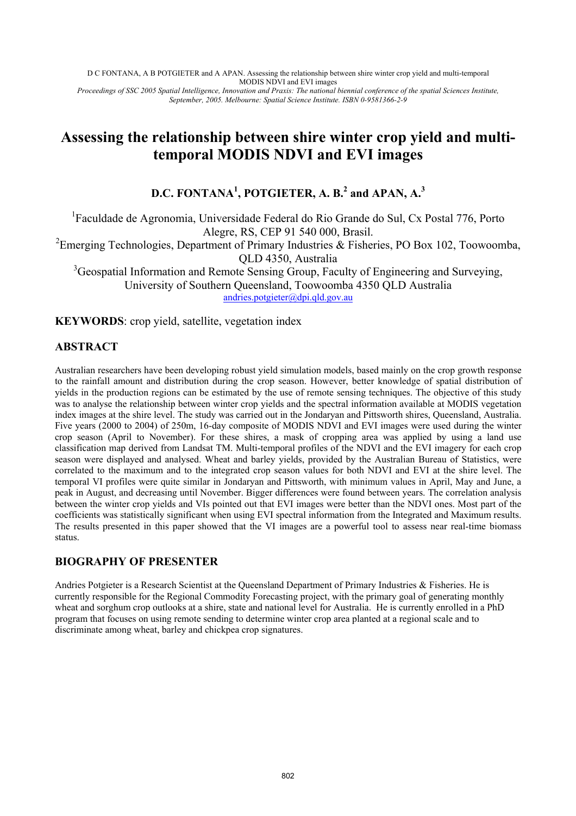D C FONTANA, A B POTGIETER and A APAN. Assessing the relationship between shire winter crop yield and multi-temporal MODIS NDVI and EVI images *Proceedings of SSC 2005 Spatial Intelligence, Innovation and Praxis: The national biennial conference of the spatial Sciences Institute, September, 2005. Melbourne: Spatial Science Institute. ISBN 0-9581366-2-9* 

# **Assessing the relationship between shire winter crop yield and multitemporal MODIS NDVI and EVI images**

# **D.C. FONTANA1 , POTGIETER, A. B.<sup>2</sup> and APAN, A.<sup>3</sup>**

<sup>1</sup>Faculdade de Agronomia, Universidade Federal do Rio Grande do Sul, Cx Postal 776, Porto Alegre, RS, CEP 91 540 000, Brasil.

<sup>2</sup> Emerging Technologies, Department of Primary Industries & Fisheries, PO Box 102, Toowoomba, QLD 4350, Australia

<sup>3</sup>Geospatial Information and Remote Sensing Group, Faculty of Engineering and Surveying, University of Southern Queensland, Toowoomba 4350 QLD Australia

andries.potgieter@dpi.qld.gov.au

**KEYWORDS**: crop yield, satellite, vegetation index

# **ABSTRACT**

Australian researchers have been developing robust yield simulation models, based mainly on the crop growth response to the rainfall amount and distribution during the crop season. However, better knowledge of spatial distribution of yields in the production regions can be estimated by the use of remote sensing techniques. The objective of this study was to analyse the relationship between winter crop yields and the spectral information available at MODIS vegetation index images at the shire level. The study was carried out in the Jondaryan and Pittsworth shires, Queensland, Australia. Five years (2000 to 2004) of 250m, 16-day composite of MODIS NDVI and EVI images were used during the winter crop season (April to November). For these shires, a mask of cropping area was applied by using a land use classification map derived from Landsat TM. Multi-temporal profiles of the NDVI and the EVI imagery for each crop season were displayed and analysed. Wheat and barley yields, provided by the Australian Bureau of Statistics, were correlated to the maximum and to the integrated crop season values for both NDVI and EVI at the shire level. The temporal VI profiles were quite similar in Jondaryan and Pittsworth, with minimum values in April, May and June, a peak in August, and decreasing until November. Bigger differences were found between years. The correlation analysis between the winter crop yields and VIs pointed out that EVI images were better than the NDVI ones. Most part of the coefficients was statistically significant when using EVI spectral information from the Integrated and Maximum results. The results presented in this paper showed that the VI images are a powerful tool to assess near real-time biomass status.

# **BIOGRAPHY OF PRESENTER**

Andries Potgieter is a Research Scientist at the Queensland Department of Primary Industries & Fisheries. He is currently responsible for the Regional Commodity Forecasting project, with the primary goal of generating monthly wheat and sorghum crop outlooks at a shire, state and national level for Australia. He is currently enrolled in a PhD program that focuses on using remote sending to determine winter crop area planted at a regional scale and to discriminate among wheat, barley and chickpea crop signatures.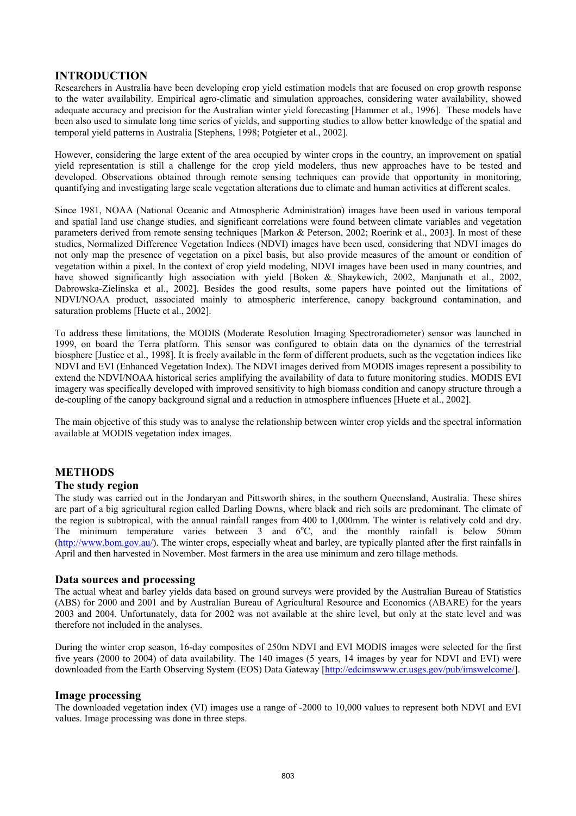## **INTRODUCTION**

Researchers in Australia have been developing crop yield estimation models that are focused on crop growth response to the water availability. Empirical agro-climatic and simulation approaches, considering water availability, showed adequate accuracy and precision for the Australian winter yield forecasting [Hammer et al., 1996]. These models have been also used to simulate long time series of yields, and supporting studies to allow better knowledge of the spatial and temporal yield patterns in Australia [Stephens, 1998; Potgieter et al., 2002].

However, considering the large extent of the area occupied by winter crops in the country, an improvement on spatial yield representation is still a challenge for the crop yield modelers, thus new approaches have to be tested and developed. Observations obtained through remote sensing techniques can provide that opportunity in monitoring, quantifying and investigating large scale vegetation alterations due to climate and human activities at different scales.

Since 1981, NOAA (National Oceanic and Atmospheric Administration) images have been used in various temporal and spatial land use change studies, and significant correlations were found between climate variables and vegetation parameters derived from remote sensing techniques [Markon & Peterson, 2002; Roerink et al., 2003]. In most of these studies, Normalized Difference Vegetation Indices (NDVI) images have been used, considering that NDVI images do not only map the presence of vegetation on a pixel basis, but also provide measures of the amount or condition of vegetation within a pixel. In the context of crop yield modeling, NDVI images have been used in many countries, and have showed significantly high association with yield [Boken & Shaykewich, 2002, Manjunath et al., 2002, Dabrowska-Zielinska et al., 2002]. Besides the good results, some papers have pointed out the limitations of NDVI/NOAA product, associated mainly to atmospheric interference, canopy background contamination, and saturation problems [Huete et al., 2002].

To address these limitations, the MODIS (Moderate Resolution Imaging Spectroradiometer) sensor was launched in 1999, on board the Terra platform. This sensor was configured to obtain data on the dynamics of the terrestrial biosphere [Justice et al., 1998]. It is freely available in the form of different products, such as the vegetation indices like NDVI and EVI (Enhanced Vegetation Index). The NDVI images derived from MODIS images represent a possibility to extend the NDVI/NOAA historical series amplifying the availability of data to future monitoring studies. MODIS EVI imagery was specifically developed with improved sensitivity to high biomass condition and canopy structure through a de-coupling of the canopy background signal and a reduction in atmosphere influences [Huete et al., 2002].

The main objective of this study was to analyse the relationship between winter crop yields and the spectral information available at MODIS vegetation index images.

### **METHODS**

#### **The study region**

The study was carried out in the Jondaryan and Pittsworth shires, in the southern Queensland, Australia. These shires are part of a big agricultural region called Darling Downs, where black and rich soils are predominant. The climate of the region is subtropical, with the annual rainfall ranges from 400 to 1,000mm. The winter is relatively cold and dry. The minimum temperature varies between  $3$  and  $6^{\circ}$ C, and the monthly rainfall is below 50mm (http://www.bom.gov.au/). The winter crops, especially wheat and barley, are typically planted after the first rainfalls in April and then harvested in November. Most farmers in the area use minimum and zero tillage methods.

#### **Data sources and processing**

The actual wheat and barley yields data based on ground surveys were provided by the Australian Bureau of Statistics (ABS) for 2000 and 2001 and by Australian Bureau of Agricultural Resource and Economics (ABARE) for the years 2003 and 2004. Unfortunately, data for 2002 was not available at the shire level, but only at the state level and was therefore not included in the analyses.

During the winter crop season, 16-day composites of 250m NDVI and EVI MODIS images were selected for the first five years (2000 to 2004) of data availability. The 140 images (5 years, 14 images by year for NDVI and EVI) were downloaded from the Earth Observing System (EOS) Data Gateway [http://edcimswww.cr.usgs.gov/pub/imswelcome/].

#### **Image processing**

The downloaded vegetation index (VI) images use a range of -2000 to 10,000 values to represent both NDVI and EVI values. Image processing was done in three steps.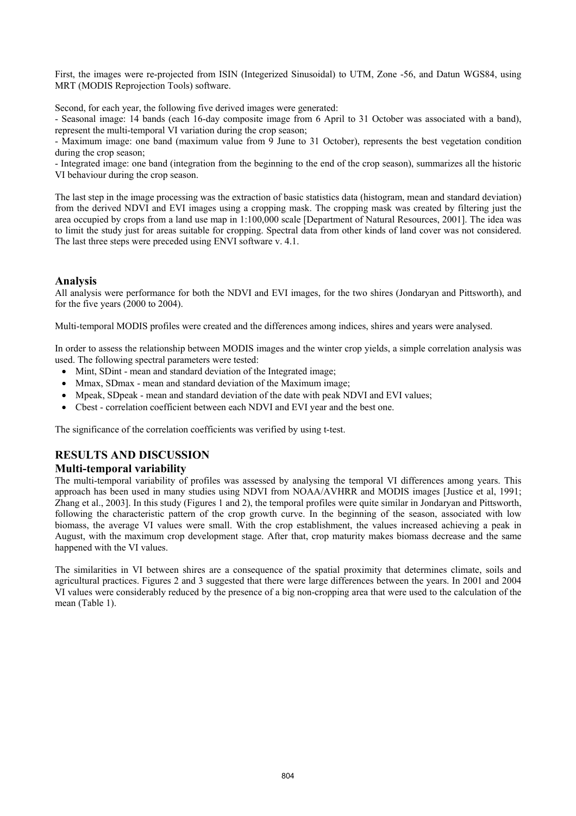First, the images were re-projected from ISIN (Integerized Sinusoidal) to UTM, Zone -56, and Datun WGS84, using MRT (MODIS Reprojection Tools) software.

Second, for each year, the following five derived images were generated:

- Seasonal image: 14 bands (each 16-day composite image from 6 April to 31 October was associated with a band), represent the multi-temporal VI variation during the crop season;

- Maximum image: one band (maximum value from 9 June to 31 October), represents the best vegetation condition during the crop season;

- Integrated image: one band (integration from the beginning to the end of the crop season), summarizes all the historic VI behaviour during the crop season.

The last step in the image processing was the extraction of basic statistics data (histogram, mean and standard deviation) from the derived NDVI and EVI images using a cropping mask. The cropping mask was created by filtering just the area occupied by crops from a land use map in 1:100,000 scale [Department of Natural Resources, 2001]. The idea was to limit the study just for areas suitable for cropping. Spectral data from other kinds of land cover was not considered. The last three steps were preceded using ENVI software v. 4.1.

### **Analysis**

All analysis were performance for both the NDVI and EVI images, for the two shires (Jondaryan and Pittsworth), and for the five years (2000 to 2004).

Multi-temporal MODIS profiles were created and the differences among indices, shires and years were analysed.

In order to assess the relationship between MODIS images and the winter crop yields, a simple correlation analysis was used. The following spectral parameters were tested:

- Mint, SDint mean and standard deviation of the Integrated image;
- Mmax, SDmax mean and standard deviation of the Maximum image;
- Mpeak, SDpeak mean and standard deviation of the date with peak NDVI and EVI values;
- Cbest correlation coefficient between each NDVI and EVI year and the best one.

The significance of the correlation coefficients was verified by using t-test.

# **RESULTS AND DISCUSSION**

#### **Multi-temporal variability**

The multi-temporal variability of profiles was assessed by analysing the temporal VI differences among years. This approach has been used in many studies using NDVI from NOAA/AVHRR and MODIS images [Justice et al, 1991; Zhang et al., 2003]. In this study (Figures 1 and 2), the temporal profiles were quite similar in Jondaryan and Pittsworth, following the characteristic pattern of the crop growth curve. In the beginning of the season, associated with low biomass, the average VI values were small. With the crop establishment, the values increased achieving a peak in August, with the maximum crop development stage. After that, crop maturity makes biomass decrease and the same happened with the VI values.

The similarities in VI between shires are a consequence of the spatial proximity that determines climate, soils and agricultural practices. Figures 2 and 3 suggested that there were large differences between the years. In 2001 and 2004 VI values were considerably reduced by the presence of a big non-cropping area that were used to the calculation of the mean (Table 1).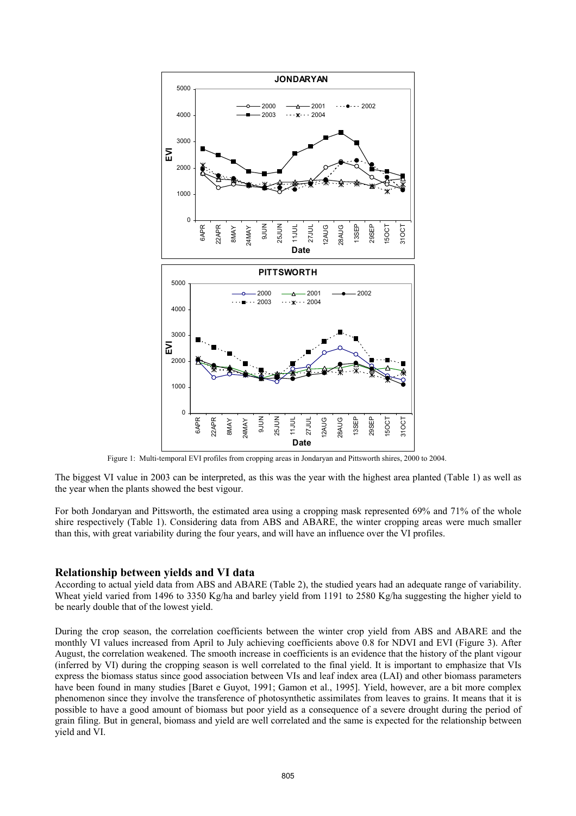

Figure 1: Multi-temporal EVI profiles from cropping areas in Jondaryan and Pittsworth shires, 2000 to 2004.

The biggest VI value in 2003 can be interpreted, as this was the year with the highest area planted (Table 1) as well as the year when the plants showed the best vigour.

For both Jondaryan and Pittsworth, the estimated area using a cropping mask represented 69% and 71% of the whole shire respectively (Table 1). Considering data from ABS and ABARE, the winter cropping areas were much smaller than this, with great variability during the four years, and will have an influence over the VI profiles.

#### **Relationship between yields and VI data**

According to actual yield data from ABS and ABARE (Table 2), the studied years had an adequate range of variability. Wheat yield varied from 1496 to 3350 Kg/ha and barley yield from 1191 to 2580 Kg/ha suggesting the higher yield to be nearly double that of the lowest yield.

During the crop season, the correlation coefficients between the winter crop yield from ABS and ABARE and the monthly VI values increased from April to July achieving coefficients above 0.8 for NDVI and EVI (Figure 3). After August, the correlation weakened. The smooth increase in coefficients is an evidence that the history of the plant vigour (inferred by VI) during the cropping season is well correlated to the final yield. It is important to emphasize that VIs express the biomass status since good association between VIs and leaf index area (LAI) and other biomass parameters have been found in many studies [Baret e Guyot, 1991; Gamon et al., 1995]. Yield, however, are a bit more complex phenomenon since they involve the transference of photosynthetic assimilates from leaves to grains. It means that it is possible to have a good amount of biomass but poor yield as a consequence of a severe drought during the period of grain filing. But in general, biomass and yield are well correlated and the same is expected for the relationship between yield and VI.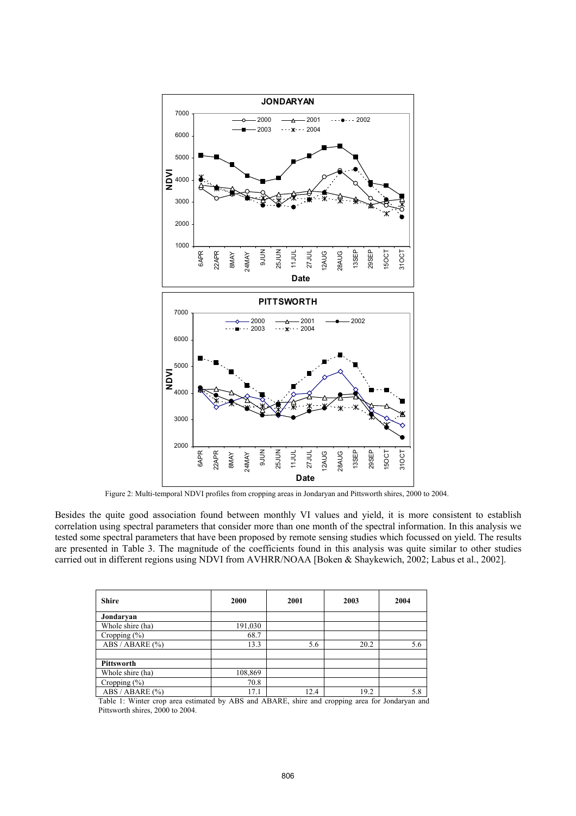

Figure 2: Multi-temporal NDVI profiles from cropping areas in Jondaryan and Pittsworth shires, 2000 to 2004.

Besides the quite good association found between monthly VI values and yield, it is more consistent to establish correlation using spectral parameters that consider more than one month of the spectral information. In this analysis we tested some spectral parameters that have been proposed by remote sensing studies which focussed on yield. The results are presented in Table 3. The magnitude of the coefficients found in this analysis was quite similar to other studies carried out in different regions using NDVI from AVHRR/NOAA [Boken & Shaykewich, 2002; Labus et al., 2002].

| <b>Shire</b>      | 2000    | 2001 | 2003 | 2004 |
|-------------------|---------|------|------|------|
| Jondaryan         |         |      |      |      |
| Whole shire (ha)  | 191,030 |      |      |      |
| Cropping $(\% )$  | 68.7    |      |      |      |
| ABS / ABARE (%)   | 13.3    | 5.6  | 20.2 | 5.6  |
|                   |         |      |      |      |
| <b>Pittsworth</b> |         |      |      |      |
| Whole shire (ha)  | 108,869 |      |      |      |
| Cropping (%)      | 70.8    |      |      |      |
| ABS / ABARE (%)   | 17.1    | 12.4 | 19.2 | 5.8  |

Table 1: Winter crop area estimated by ABS and ABARE, shire and cropping area for Jondaryan and Pittsworth shires, 2000 to 2004.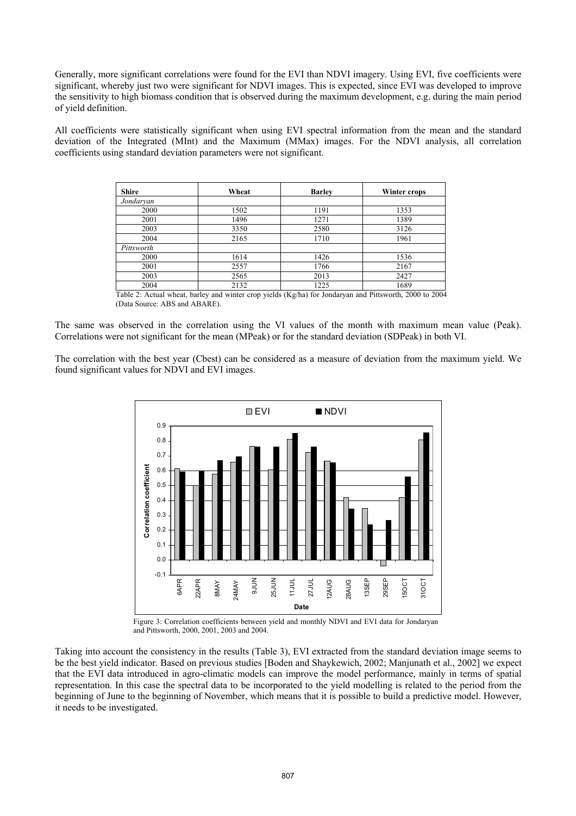Generally, more significant correlations were found for the EVI than NDVI imagery. Using EVI, five coefficients were significant, whereby just two were significant for NDVI images. This is expected, since EVI was developed to improve the sensitivity to high biomass condition that is observed during the maximum development, e.g. during the main period of yield definition.

All coefficients were statistically significant when using EVI spectral information from the mean and the standard deviation of the Integrated (MInt) and the Maximum (MMax) images. For the NDVI analysis, all correlation coefficients using standard deviation parameters were not significant.

| <b>Shire</b> | Wheat | <b>Barley</b> | Winter crops |  |
|--------------|-------|---------------|--------------|--|
| Jondaryan    |       |               |              |  |
| 2000         | 1502  | 1191          | 1353         |  |
| 2001         | 1496  | 1271          | 1389         |  |
| 2003         | 3350  | 2580          | 3126         |  |
| 2004         | 2165  | 1710          | 1961         |  |
| Pittsworth   |       |               |              |  |
| 2000         | 1614  | 1426          | 1536         |  |
| 2001         | 2557  | 1766          | 2167         |  |
| 2003         | 2565  | 2013          | 2427         |  |
| 2004         | 2132  | 1225          | 1689         |  |

Table 2: Actual wheat, barley and winter crop yields (Kg/ha) for Jondaryan and Pittsworth, 2000 to 2004 (Data Source: ABS and ABARE).

The same was observed in the correlation using the VI values of the month with maximum mean value (Peak). Correlations were not significant for the mean (MPeak) or for the standard deviation (SDPeak) in both VI.

The correlation with the best year (Cbest) can be considered as a measure of deviation from the maximum yield. We found significant values for NDVI and EVI images.



Figure 3: Correlation coefficients between yield and monthly NDVI and EVI data for Jondaryan and Pittsworth, 2000, 2001, 2003 and 2004.

Taking into account the consistency in the results (Table 3), EVI extracted from the standard deviation image seems to be the best yield indicator. Based on previous studies [Boden and Shaykewich, 2002; Manjunath et al., 2002] we expect that the EVI data introduced in agro-climatic models can improve the model performance, mainly in terms of spatial representation. In this case the spectral data to be incorporated to the yield modelling is related to the period from the beginning of June to the beginning of November, which means that it is possible to build a predictive model. However, it needs to be investigated.